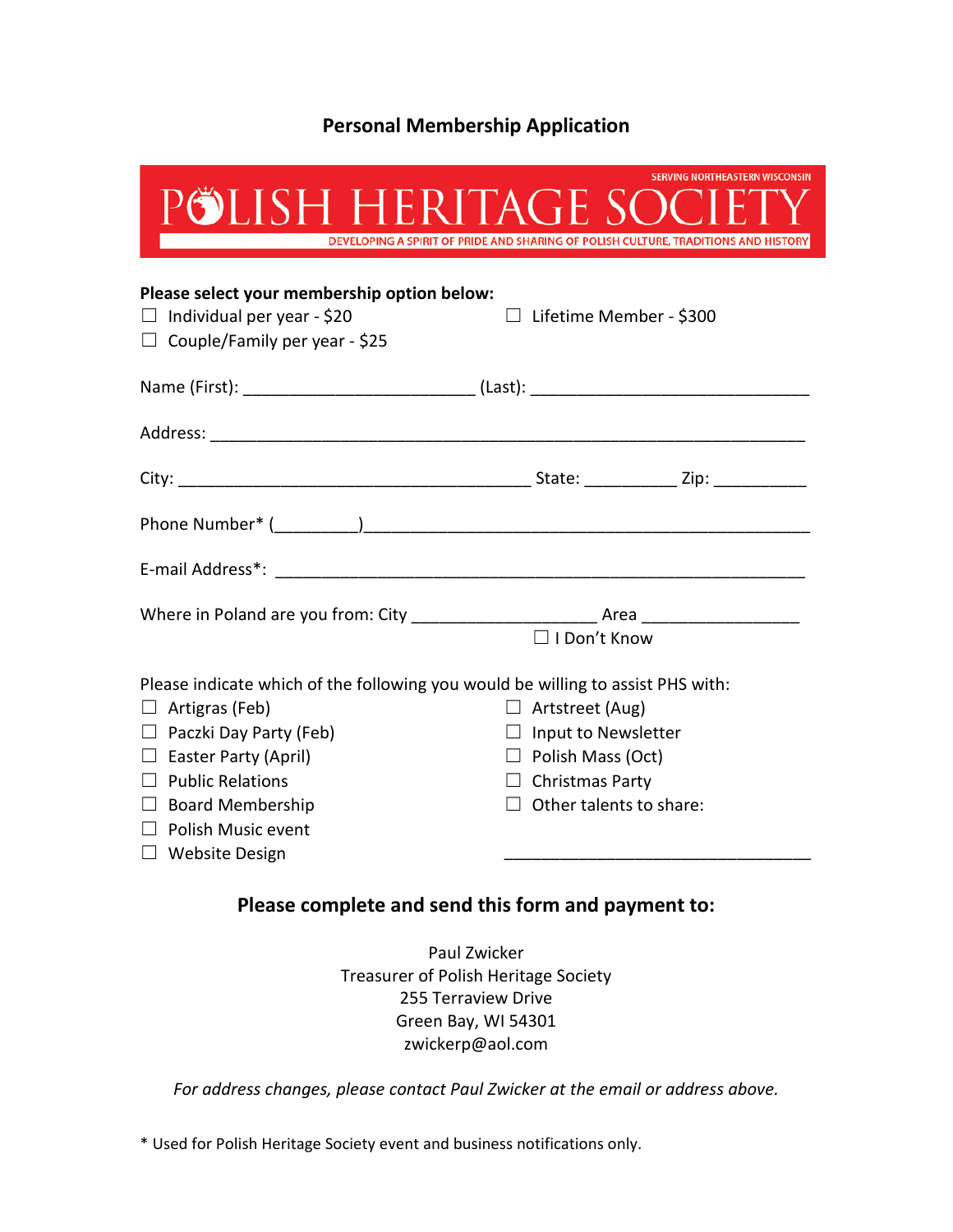## **Personal Membership Application**

| POLISH HERITAGE SOC                                                                                                                                                                                                                                                                  | <b>SERVING NORTHEASTERN WISCONSIN</b><br>DEVELOPING A SPIRIT OF PRIDE AND SHARING OF POLISH CULTURE, TRADITIONS AND HISTORY                  |
|--------------------------------------------------------------------------------------------------------------------------------------------------------------------------------------------------------------------------------------------------------------------------------------|----------------------------------------------------------------------------------------------------------------------------------------------|
| Please select your membership option below:<br>$\Box$ Individual per year - \$20<br>$\Box$ Couple/Family per year - \$25                                                                                                                                                             | $\Box$ Lifetime Member - \$300                                                                                                               |
|                                                                                                                                                                                                                                                                                      |                                                                                                                                              |
|                                                                                                                                                                                                                                                                                      |                                                                                                                                              |
|                                                                                                                                                                                                                                                                                      |                                                                                                                                              |
|                                                                                                                                                                                                                                                                                      |                                                                                                                                              |
|                                                                                                                                                                                                                                                                                      |                                                                                                                                              |
|                                                                                                                                                                                                                                                                                      | $\Box$ I Don't Know                                                                                                                          |
| Please indicate which of the following you would be willing to assist PHS with:<br>$\Box$ Artigras (Feb)<br>$\Box$ Paczki Day Party (Feb)<br>$\Box$ Easter Party (April)<br>$\Box$ Public Relations<br>$\Box$ Board Membership<br>$\Box$ Polish Music event<br><b>Website Design</b> | $\Box$ Artstreet (Aug)<br>$\Box$ Input to Newsletter<br>$\Box$ Polish Mass (Oct)<br>$\Box$ Christmas Party<br>$\Box$ Other talents to share: |

## **Please complete and send this form and payment to:**

Paul Zwicker Treasurer of Polish Heritage Society 255 Terraview Drive Green Bay, WI 54301 zwickerp@aol.com

*For address changes, please contact Paul Zwicker at the email or address above.*

\* Used for Polish Heritage Society event and business notifications only.